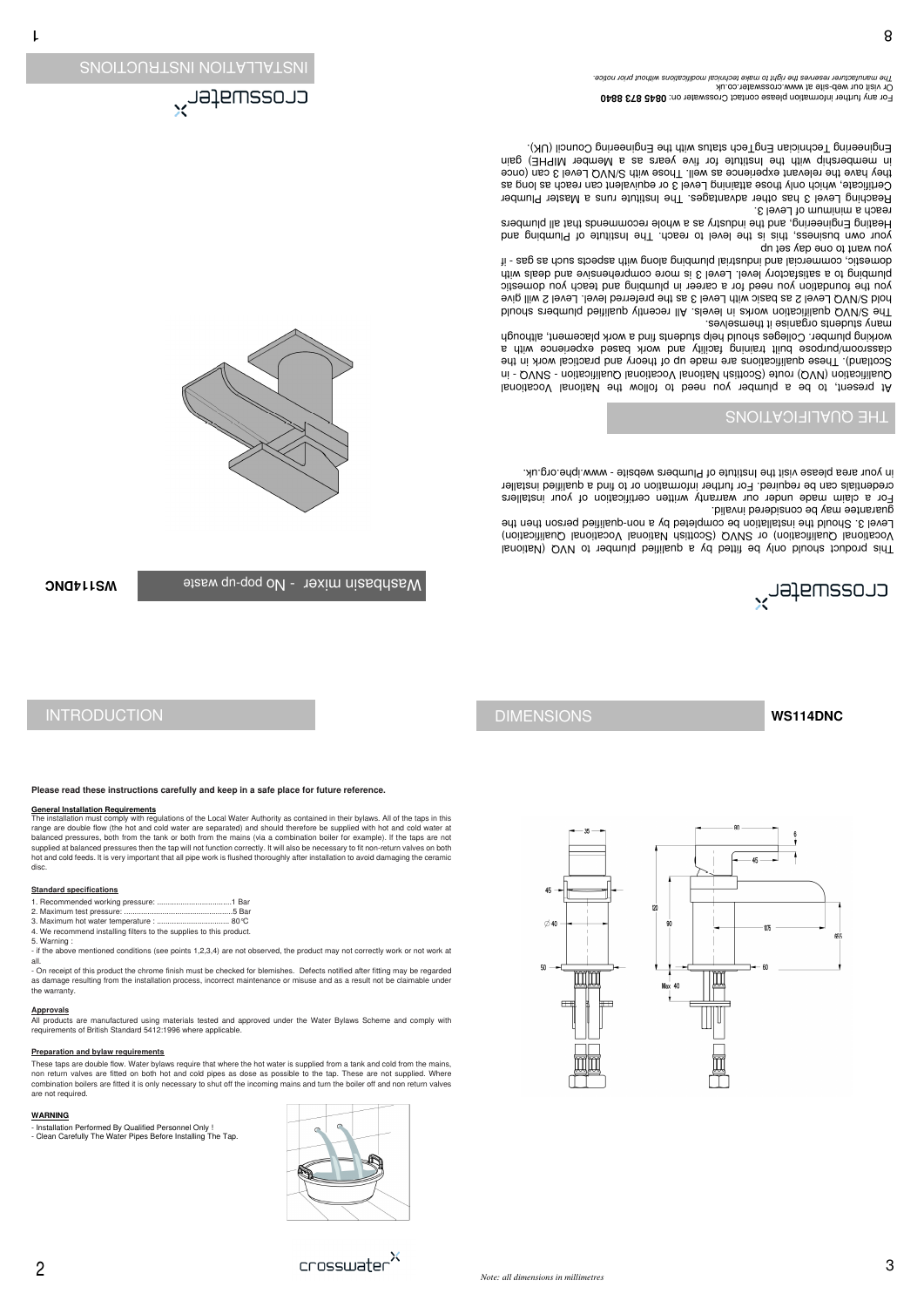

**Please read these instructions carefully and keep in a safe place for future reference.**

### **General Installation Requirements**

The installation must comply with regulations of the Local Water Authority as contained in their bylaws. All of the taps in this range are double flow (the hot and cold water are separated) and should therefore be supplied with hot and cold water at balanced pressures, both from the tank or both from the mains (via a combination boiler for example). lf the taps are not supplied at balanced pressures then the tap will not function correctly. It will also be necessary to fit non-return valves on both hot and cold feeds. lt is very important that all pipe work is flushed thoroughly after installation to avoid damaging the ceramic disc.

**Standard specifications**

- 
- 
- 
- 
- 
- 

1. Recommended working pressure: ...................................1 Bar 2. Maximum test pressure: ...................................................5 Bar 3. Maximum hot water temperature : .................................. 80°C 4. We recommend installing filters to the supplies to this product.

| 4. We recommend installing filters to the supplies to this pro- |
|-----------------------------------------------------------------|

These taps are double flow. Water bylaws require that where the hot water is supplied from a tank and cold from the mains, non return valves are fitted on both hot and cold pipes as dose as possible to the tap. These are not supplied. Where combination boilers are fitted it is only necessary to shut off the incoming mains and turn the boiler off and non return valves are not required.

- 
- 
- 
- 
- 
- 
- 
- 5. Warning :
- 

- if the above mentioned conditions (see points 1,2,3,4) are not observed, the product may not correctly work or not work at all.

- On receipt of this product the chrome finish must be checked for blemishes. Defects notified after fitting may be regarded

lenoits UQV of nedmulq beitilisup a yd bettif ed ylno bluona foubonq ain T Vocational Qualification) or SVVQ (Scottish National Vocational Qualification) Level 3. Should the installation be completed by a non-qualified person then the guarantee may be considered invalid.

For a claim made under our warranty written certification of your installers credentials can be required. For further information or to find a qualified installer in your area please visit the Institute of Plumbers website - www.iphe.org.uk.

as damage resulting from the installation process, incorrect maintenance or misuse and as a result not be claimable under

the warranty.

#### **Approvals**

All products are manufactured using materials tested and approved under the Water Bylaws Scheme and comply with requirements of British Standard 5412:1996 where applicable.

### **Preparation and bylaw requirements**

The S/NVQ qualification works in levels. IIA recently qualified plumbers should hold S/NVQ Level 2 as basic with Level 3 as the preferred level. Level 2 will give yon the foundation you need for a career in plumbing and teach you domestic plumbing to a satisfactory level. Level 3 is more comprehenviance and deals with domestic, commercial and ibrital alording alorigional produstrial - if you want to one day set up

your own business, this is the level to reach. The luitined to phidmoning and Heating Engineering, and the industry as a whole recommends that all plumbers reach a minimum of Level 3.

Reaching Level 3 has other advantages. The Institute runs a Master Plumber Certificate, which only those attaining Level 3 or equivalent can reach as long as they have the relevant experience as well. Those with S/NVQ Level 3 can (once in membership with the nuitute versions as a Member MIPHE) gain Engineering Technician EngTech status with the Engineering Council (UK).

For any further information please contact Crosswater on: 0845 873 8840 Or visit our web-site at www.crosswater.co.uk The manufacturer reserves the right to make technical modifications without prior notice.







### **WARNING**

- Installation Performed By Qualified Personnel Only ! - Clean Carefully The Water Pipes Before Installing The Tap.



INSTALLATION INSTRUCTIONS

# THE QUALIFICATIONS

At present, to be a plumber you need to follow the National Vocational onalification (NVQ) route (Scottish National Vocational Qualication - SNVQ - in Scotland). These qualifications are made up of theory and practical work in the classroom/purpose built training facility and work based experience with a working plumber. Colleges should help students thin a work placement, although many students organise it themselves.

**WS114DNC**

bashbasin mixer - No pop-up waste



# INTRODUCTION **DIMENSIONS**

**WS114DNC**